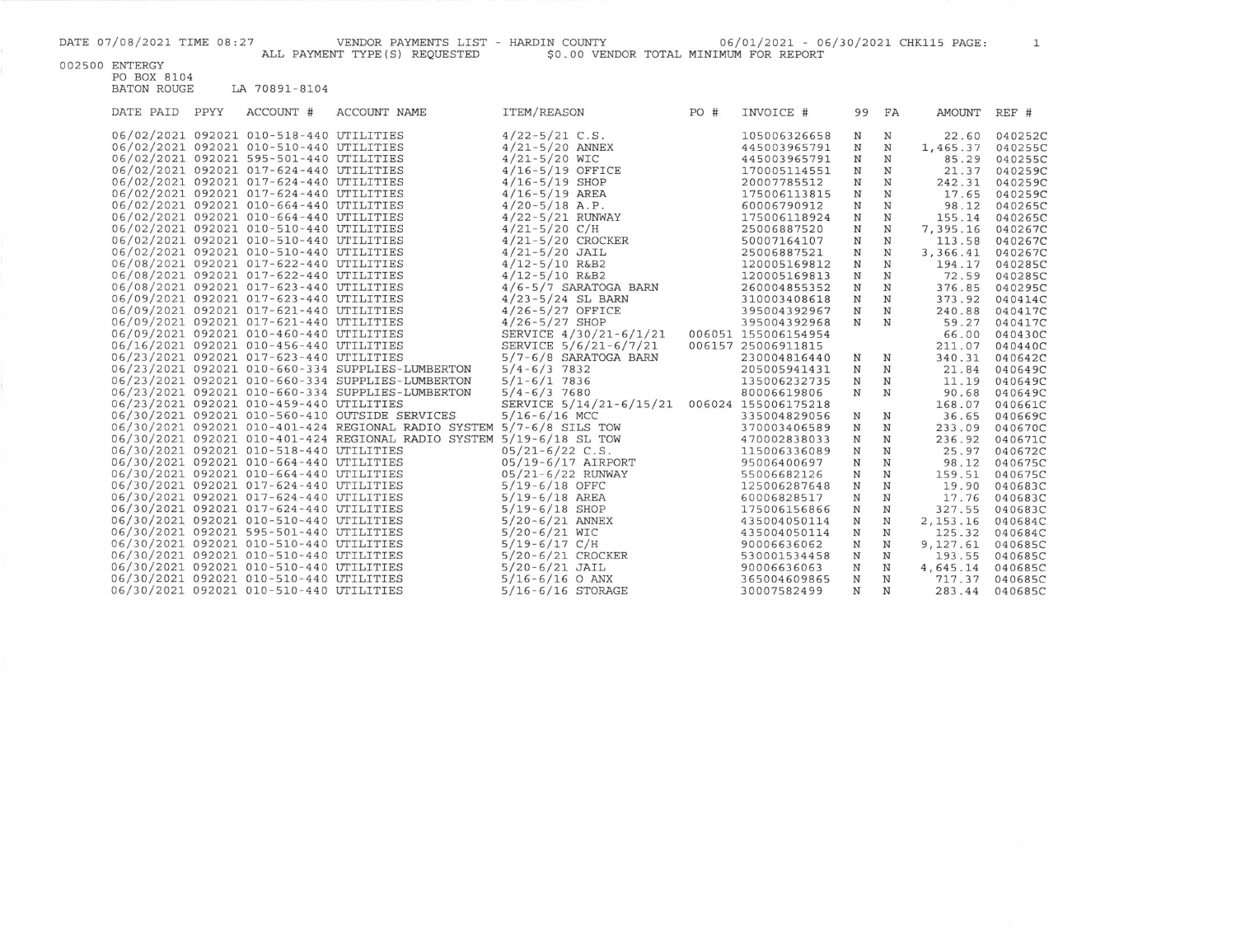DATE 07/08/2021 TIME 08:27 VENDOR PAYMENTS LIST - HARDIN COUNTY 06/01/2021 - 06/30/2021 CHK115 PAGE: 1 ALL PAYMENT TYPE(S) REQUESTED \$0.00 VENDOR TOTAL MINIMUM FOR REPORT

002500 ENTERGY

| DATE PAID | PPYY | ACCOUNT #                               | <b>ACCOUNT NAME</b>                                                  | ITEM/REASON                                 | PO# | INVOICE #           |             | 99 FA        | AMOUNT           | REF #          |
|-----------|------|-----------------------------------------|----------------------------------------------------------------------|---------------------------------------------|-----|---------------------|-------------|--------------|------------------|----------------|
|           |      | 06/02/2021 092021 010-518-440 UTILITIES |                                                                      | $4/22 - 5/21$ C.S.                          |     | 105006326658        | N           | N            | 22.60            | 040252C        |
|           |      | 06/02/2021 092021 010-510-440 UTILITIES |                                                                      | $4/21 - 5/20$ ANNEX                         |     | 445003965791        | N           | N            | 1,465.37         | 040255C        |
|           |      | 06/02/2021 092021 595-501-440 UTILITIES |                                                                      | $4/21 - 5/20$ WIC                           |     | 445003965791        | N           | $_{\rm N}$   | 85.29            | 040255C        |
|           |      | 06/02/2021 092021 017-624-440 UTILITIES |                                                                      | $4/16 - 5/19$ OFFICE                        |     | 170005114551        | N           | $\mathbb N$  | 21.37            | 040259C        |
|           |      | 06/02/2021 092021 017-624-440 UTILITIES |                                                                      | $4/16 - 5/19$ SHOP                          |     | 20007785512         | $_{\rm N}$  | $\mathbf N$  | 242.31           | 040259C        |
|           |      | 06/02/2021 092021 017-624-440 UTILITIES |                                                                      | $4/16 - 5/19$ AREA                          |     | 175006113815        | $_{\rm N}$  | $_{\rm N}$   | 17.65            | 040259C        |
|           |      | 06/02/2021 092021 010-664-440 UTILITIES |                                                                      | $4/20 - 5/18$ A.P.                          |     | 60006790912         | $_{\rm N}$  | $\mathbf N$  | 98.12            | 040265C        |
|           |      | 06/02/2021 092021 010-664-440 UTILITIES |                                                                      | $4/22 - 5/21$ RUNWAY                        |     | 175006118924        | $\mathbf N$ | $\mathbf N$  | 155.14           | 040265C        |
|           |      | 06/02/2021 092021 010-510-440 UTILITIES |                                                                      | $4/21 - 5/20$ C/H                           |     | 25006887520         | $_{\rm N}$  | $_{\rm N}$   | 7,395.16         | 040267C        |
|           |      | 06/02/2021 092021 010-510-440 UTILITIES |                                                                      | $4/21 - 5/20$ CROCKER                       |     | 50007164107         | $\mathbf N$ | $_{\rm N}$   | 113.58           | 040267C        |
|           |      | 06/02/2021 092021 010-510-440 UTILITIES |                                                                      | $4/21 - 5/20$ JAIL                          |     | 25006887521         | N           | $_{\rm N}$   | 3,366.41         | 040267C        |
|           |      | 06/08/2021 092021 017-622-440 UTILITIES |                                                                      | $4/12 - 5/10$ R&B2                          |     | 120005169812        | N           | N            | 194.17           | 040285C        |
|           |      | 06/08/2021 092021 017-622-440 UTILITIES |                                                                      | $4/12 - 5/10$ R&B2                          |     | 120005169813        | $\mathbf N$ | $\mathbb N$  | 72.59            | 040285C        |
|           |      | 06/08/2021 092021 017-623-440 UTILITIES |                                                                      | $4/6 - 5/7$ SARATOGA BARN                   |     | 260004855352        | $\mathbf N$ | N            | 376.85           | 040295C        |
|           |      | 06/09/2021 092021 017-623-440 UTILITIES |                                                                      | $4/23 - 5/24$ SL BARN                       |     | 310003408618        | $\mathbf N$ | $\mathbf N$  | 373.92           | 040414C        |
|           |      | 06/09/2021 092021 017-621-440 UTILITIES |                                                                      | $4/26 - 5/27$ OFFICE                        |     | 395004392967        | $\mathbf N$ | $\mathbf N$  | 240.88           | 040417C        |
|           |      | 06/09/2021 092021 017-621-440 UTILITIES |                                                                      | $4/26 - 5/27$ SHOP                          |     | 395004392968        | $_{\rm N}$  | $_{\rm N}$   | 59.27            | 040417C        |
|           |      | 06/09/2021 092021 010-460-440 UTILITIES |                                                                      | SERVICE 4/30/21-6/1/21                      |     | 006051 155006154954 |             |              | 66.00            | 040430C        |
|           |      | 06/16/2021 092021 010-456-440 UTILITIES |                                                                      | SERVICE 5/6/21-6/7/21                       |     | 006157 25006911815  |             |              | 211.07           | 040440C        |
|           |      | 06/23/2021 092021 017-623-440 UTILITIES |                                                                      | $5/7 - 6/8$ SARATOGA BARN                   |     | 230004816440        | $\mathbf N$ | $_{\rm N}$   | 340.31           | 040642C        |
|           |      |                                         | 06/23/2021 092021 010-660-334 SUPPLIES-LUMBERTON                     | $5/4 - 6/3$ 7832                            |     | 205005941431        | N           | $\, {\rm N}$ | 21.84            | 040649C        |
|           |      |                                         | 06/23/2021 092021 010-660-334 SUPPLIES-LUMBERTON                     | $5/1 - 6/1$ 7836                            |     | 135006232735        | N           | N            | 11.19            | 040649C        |
|           |      |                                         | 06/23/2021 092021 010-660-334 SUPPLIES-LUMBERTON                     | $5/4 - 6/3$ 7680                            |     | 80006619806         | N           | $\mathbf N$  | 90.68            | 040649C        |
|           |      | 06/23/2021 092021 010-459-440 UTILITIES |                                                                      | SERVICE 5/14/21-6/15/21 006024 155006175218 |     |                     |             |              | 168.07           | 040661C        |
|           |      |                                         | 06/30/2021 092021 010-560-410 OUTSIDE SERVICES                       | $5/16 - 6/16$ MCC                           |     | 335004829056        | $\mathbf N$ | $_{\rm N}$   | 36.65            | 040669C        |
|           |      |                                         | 06/30/2021 092021 010-401-424 REGIONAL RADIO SYSTEM 5/7-6/8 SILS TOW |                                             |     | 370003406589        | $_{\rm N}$  | $\mathbf N$  | 233.09           | 040670C        |
|           |      |                                         | 06/30/2021 092021 010-401-424 REGIONAL RADIO SYSTEM 5/19-6/18 SL TOW |                                             |     | 470002838033        | $\mathbb N$ | $\mathbb N$  | 236.92           | 040671C        |
|           |      | 06/30/2021 092021 010-518-440 UTILITIES |                                                                      | $05/21 - 6/22$ C.S.                         |     | 115006336089        | $_{\rm N}$  | $\mathbf N$  | 25.97            | 040672C        |
|           |      | 06/30/2021 092021 010-664-440 UTILITIES |                                                                      | 05/19-6/17 AIRPORT                          |     | 95006400697         | $_{\rm N}$  | $_{\rm N}$   | 98.12            | 040675C        |
|           |      | 06/30/2021 092021 010-664-440 UTILITIES |                                                                      | 05/21-6/22 RUNWAY                           |     | 55006682126         | $\mathbf N$ | $\mathbf N$  | 159.51           | 040675C        |
|           |      | 06/30/2021 092021 017-624-440 UTILITIES |                                                                      | $5/19-6/18$ OFFC                            |     | 125006287648        | $_{\rm N}$  | $_{\rm N}$   | 19.90            | 040683C        |
|           |      | 06/30/2021 092021 017-624-440 UTILITIES |                                                                      | $5/19-6/18$ AREA                            |     | 60006828517         | N           | N            | 17.76            | 040683C        |
|           |      | 06/30/2021 092021 017-624-440 UTILITIES |                                                                      | $5/19-6/18$ SHOP                            |     | 175006156866        | N           | $_{\rm N}$   | 327.55           | 040683C        |
|           |      | 06/30/2021 092021 010-510-440 UTILITIES |                                                                      | $5/20 - 6/21$ ANNEX                         |     | 435004050114        | $\mathbf N$ | $_{\rm N}$   | 2, 153. 16       | 040684C        |
|           |      | 06/30/2021 092021 595-501-440 UTILITIES |                                                                      | $5/20 - 6/21$ WIC                           |     | 435004050114        | $\mathbf N$ | $_{\rm N}$   |                  | 125.32 040684C |
|           |      | 06/30/2021 092021 010-510-440 UTILITIES |                                                                      | $5/19-6/17$ C/H                             |     | 90006636062         | N           | $_{\rm N}$   | 9,127.61 040685C |                |
|           |      | 06/30/2021 092021 010-510-440 UTILITIES |                                                                      | $5/20 - 6/21$ CROCKER                       |     | 530001534458        | N           | $_{\rm N}$   | 193.55           | 040685C        |
|           |      | 06/30/2021 092021 010-510-440 UTILITIES |                                                                      | $5/20 - 6/21$ JAIL                          |     | 90006636063         | N           | $_{\rm N}$   | 4,645.14         | 040685C        |
|           |      | 06/30/2021 092021 010-510-440 UTILITIES |                                                                      | $5/16 - 6/16$ O ANX                         |     | 365004609865        | N           | $_{\rm N}$   | 717.37           | 040685C        |
|           |      | 06/30/2021 092021 010-510-440 UTILITIES |                                                                      | $5/16 - 6/16$ STORAGE                       |     | 30007582499         | N           | N            | 283.44           | 040685C        |